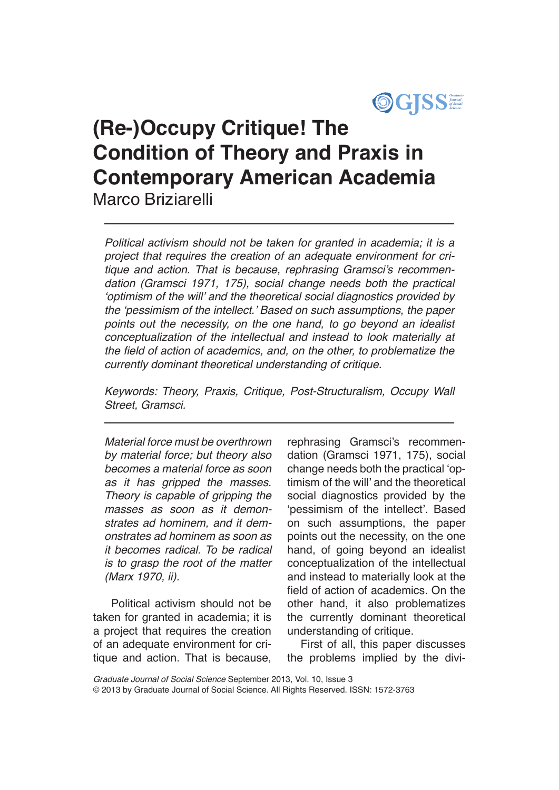

# **(Re-)Occupy Critique! The Condition of Theory and Praxis in Contemporary American Academia** Marco Briziarelli

*Political activism should not be taken for granted in academia; it is a project that requires the creation of an adequate environment for cri*tique and action. That is because, rephrasing Gramsci's recommen*dation (Gramsci 1971, 175), social change needs both the practical*  'optimism of the will' and the theoretical social diagnostics provided by the 'pessimism of the intellect.' Based on such assumptions, the paper points out the necessity, on the one hand, to go beyond an idealist conceptualization of the intellectual and instead to look materially at the field of action of academics, and, on the other, to problematize the currently dominant theoretical understanding of critique.

Keywords: Theory, Praxis, Critique, Post-Structuralism, Occupy Wall *Street, Gramsci.*

Material force must be overthrown by material force; but theory also *becomes a material force as soon as it has gripped the masses.*  Theory is capable of gripping the *masses as soon as it demonstrates ad hominem, and it demonstrates ad hominem as soon as it becomes radical. To be radical is to grasp the root of the matter*  (Marx 1970, ii).

 Political activism should not be taken for granted in academia; it is a project that requires the creation of an adequate environment for critique and action. That is because,

rephrasing Gramsci's recommendation (Gramsci 1971, 175), social change needs both the practical 'optimism of the will' and the theoretical social diagnostics provided by the 'pessimism of the intellect'. Based on such assumptions, the paper points out the necessity, on the one hand, of going beyond an idealist conceptualization of the intellectual and instead to materially look at the field of action of academics. On the other hand, it also problematizes the currently dominant theoretical understanding of critique.

First of all, this paper discusses the problems implied by the divi-

*Graduate Journal of Social Science* September 2013, Vol. 10, Issue 3 © 2013 by Graduate Journal of Social Science. All Rights Reserved. ISSN: 1572-3763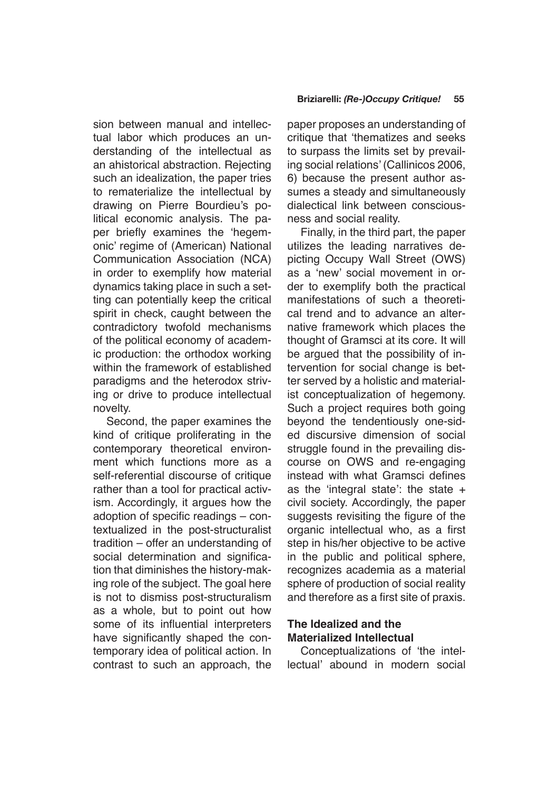sion between manual and intellectual labor which produces an understanding of the intellectual as an ahistorical abstraction. Rejecting such an idealization, the paper tries to rematerialize the intellectual by drawing on Pierre Bourdieu's political economic analysis. The paper briefly examines the 'hegemonic' regime of (American) National Communication Association (NCA) in order to exemplify how material dynamics taking place in such a setting can potentially keep the critical spirit in check, caught between the contradictory twofold mechanisms of the political economy of academic production: the orthodox working within the framework of established paradigms and the heterodox striving or drive to produce intellectual novelty.

Second, the paper examines the kind of critique proliferating in the contemporary theoretical environment which functions more as a self-referential discourse of critique rather than a tool for practical activism. Accordingly, it argues how the adoption of specific readings – contextualized in the post-structuralist tradition – offer an understanding of social determination and signification that diminishes the history-making role of the subject. The goal here is not to dismiss post-structuralism as a whole, but to point out how some of its influential interpreters have significantly shaped the contemporary idea of political action. In contrast to such an approach, the paper proposes an understanding of critique that 'thematizes and seeks to surpass the limits set by prevailing social relations' (Callinicos 2006, 6) because the present author assumes a steady and simultaneously dialectical link between consciousness and social reality.

Finally, in the third part, the paper utilizes the leading narratives depicting Occupy Wall Street (OWS) as a 'new' social movement in order to exemplify both the practical manifestations of such a theoretical trend and to advance an alternative framework which places the thought of Gramsci at its core. It will be argued that the possibility of intervention for social change is better served by a holistic and materialist conceptualization of hegemony. Such a project requires both going beyond the tendentiously one-sided discursive dimension of social struggle found in the prevailing discourse on OWS and re-engaging instead with what Gramsci defines as the 'integral state': the state + civil society. Accordingly, the paper suggests revisiting the figure of the organic intellectual who, as a first step in his/her objective to be active in the public and political sphere, recognizes academia as a material sphere of production of social reality and therefore as a first site of praxis.

# **The Idealized and the Materialized Intellectual**

Conceptualizations of 'the intellectual' abound in modern social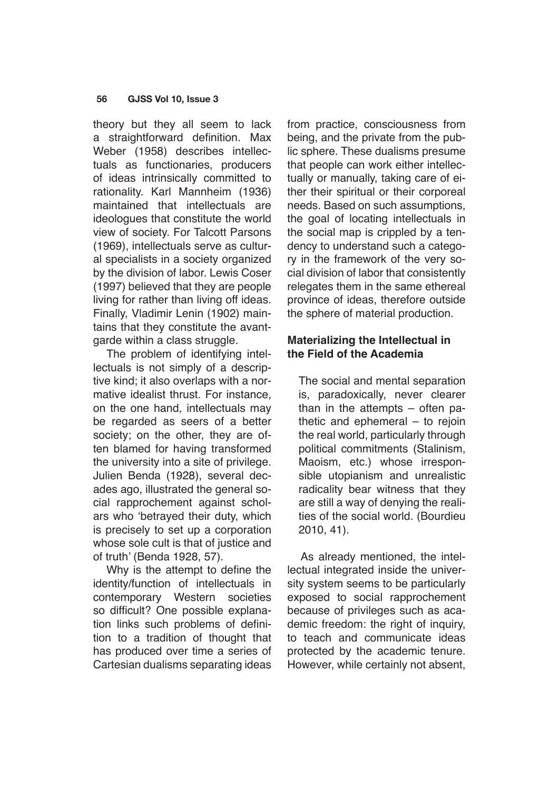theory but they all seem to lack a straightforward definition. Max Weber (1958) describes intellectuals as functionaries, producers of ideas intrinsically committed to rationality. Karl Mannheim (1936) maintained that intellectuals are ideologues that constitute the world view of society. For Talcott Parsons (1969), intellectuals serve as cultural specialists in a society organized by the division of labor. Lewis Coser (1997) believed that they are people living for rather than living off ideas. Finally, Vladimir Lenin (1902) maintains that they constitute the avantgarde within a class struggle.

The problem of identifying intellectuals is not simply of a descriptive kind; it also overlaps with a normative idealist thrust. For instance, on the one hand, intellectuals may be regarded as seers of a better society; on the other, they are often blamed for having transformed the university into a site of privilege. Julien Benda (1928), several decades ago, illustrated the general social rapprochement against scholars who 'betrayed their duty, which is precisely to set up a corporation whose sole cult is that of justice and of truth' (Benda 1928, 57).

Why is the attempt to define the identity/function of intellectuals in contemporary Western societies so difficult? One possible explanation links such problems of definition to a tradition of thought that has produced over time a series of Cartesian dualisms separating ideas from practice, consciousness from being, and the private from the public sphere. These dualisms presume that people can work either intellectually or manually, taking care of either their spiritual or their corporeal needs. Based on such assumptions, the goal of locating intellectuals in the social map is crippled by a tendency to understand such a category in the framework of the very social division of labor that consistently relegates them in the same ethereal province of ideas, therefore outside the sphere of material production.

# **Materializing the Intellectual in the Field of the Academia**

The social and mental separation is, paradoxically, never clearer than in the attempts – often pathetic and ephemeral – to rejoin the real world, particularly through political commitments (Stalinism, Maoism, etc.) whose irresponsible utopianism and unrealistic radicality bear witness that they are still a way of denying the realities of the social world. (Bourdieu 2010, 41).

As already mentioned, the intellectual integrated inside the university system seems to be particularly exposed to social rapprochement because of privileges such as academic freedom: the right of inquiry. to teach and communicate ideas protected by the academic tenure. However, while certainly not absent,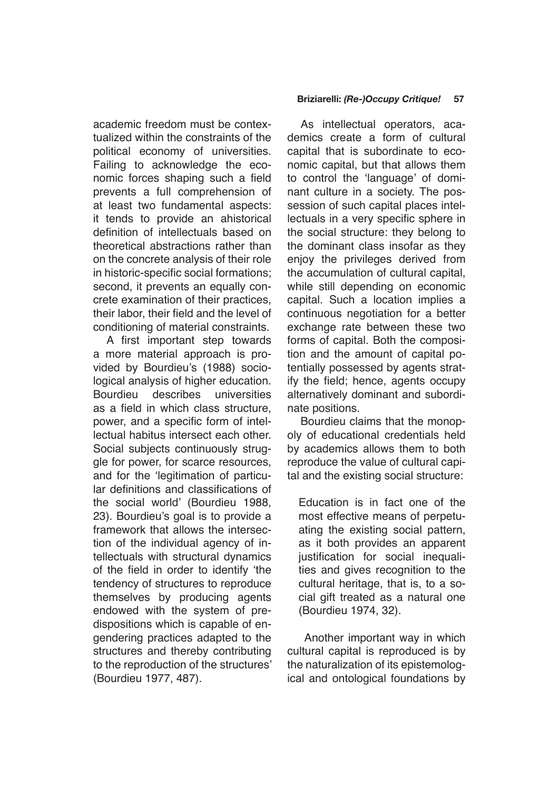academic freedom must be contextualized within the constraints of the political economy of universities. Failing to acknowledge the economic forces shaping such a field prevents a full comprehension of at least two fundamental aspects: it tends to provide an ahistorical definition of intellectuals based on theoretical abstractions rather than on the concrete analysis of their role in historic-specific social formations; second, it prevents an equally concrete examination of their practices, their labor, their field and the level of conditioning of material constraints.

A first important step towards a more material approach is provided by Bourdieu's (1988) sociological analysis of higher education. Bourdieu describes universities as a field in which class structure, power, and a specific form of intellectual habitus intersect each other. Social subjects continuously struggle for power, for scarce resources, and for the 'legitimation of particular definitions and classifications of the social world' (Bourdieu 1988, 23). Bourdieu's goal is to provide a framework that allows the intersection of the individual agency of intellectuals with structural dynamics of the field in order to identify 'the tendency of structures to reproduce themselves by producing agents endowed with the system of predispositions which is capable of engendering practices adapted to the structures and thereby contributing to the reproduction of the structures' (Bourdieu 1977, 487).

### **Briziarelli:** *(Re-)Occupy Critique!* **57**

As intellectual operators, academics create a form of cultural capital that is subordinate to economic capital, but that allows them to control the 'language' of dominant culture in a society. The possession of such capital places intellectuals in a very specific sphere in the social structure: they belong to the dominant class insofar as they enjoy the privileges derived from the accumulation of cultural capital, while still depending on economic capital. Such a location implies a continuous negotiation for a better exchange rate between these two forms of capital. Both the composition and the amount of capital potentially possessed by agents stratify the field; hence, agents occupy alternatively dominant and subordinate positions.

Bourdieu claims that the monopoly of educational credentials held by academics allows them to both reproduce the value of cultural capital and the existing social structure:

Education is in fact one of the most effective means of perpetuating the existing social pattern, as it both provides an apparent justification for social inequalities and gives recognition to the cultural heritage, that is, to a social gift treated as a natural one (Bourdieu 1974, 32).

 Another important way in which cultural capital is reproduced is by the naturalization of its epistemological and ontological foundations by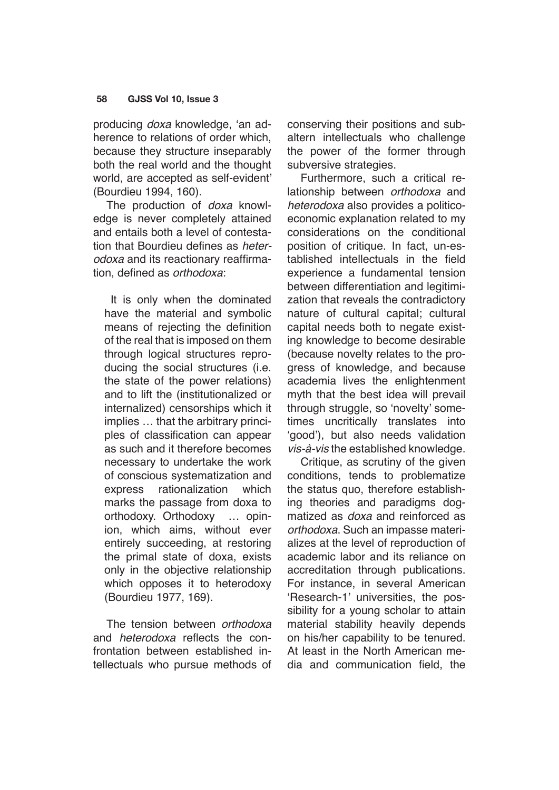producing doxa knowledge, 'an adherence to relations of order which, because they structure inseparably both the real world and the thought world, are accepted as self-evident' (Bourdieu 1994, 160).

The production of doxa knowledge is never completely attained and entails both a level of contestation that Bourdieu defines as *heter*odoxa and its reactionary reaffirmation, defined as orthodoxa:

 It is only when the dominated have the material and symbolic means of rejecting the definition of the real that is imposed on them through logical structures reproducing the social structures (i.e. the state of the power relations) and to lift the (institutionalized or internalized) censorships which it implies … that the arbitrary principles of classification can appear as such and it therefore becomes necessary to undertake the work of conscious systematization and express rationalization which marks the passage from doxa to orthodoxy. Orthodoxy … opinion, which aims, without ever entirely succeeding, at restoring the primal state of doxa, exists only in the objective relationship which opposes it to heterodoxy (Bourdieu 1977, 169).

The tension between orthodoxa and heterodoxa reflects the confrontation between established intellectuals who pursue methods of conserving their positions and subaltern intellectuals who challenge the power of the former through subversive strategies.

Furthermore, such a critical relationship between orthodoxa and heterodoxa also provides a politicoeconomic explanation related to my considerations on the conditional position of critique. In fact, un-established intellectuals in the field experience a fundamental tension between differentiation and legitimization that reveals the contradictory nature of cultural capital; cultural capital needs both to negate existing knowledge to become desirable (because novelty relates to the progress of knowledge, and because academia lives the enlightenment myth that the best idea will prevail through struggle, so 'novelty' sometimes uncritically translates into 'good'), but also needs validation *vis-à-vis* the established knowledge.

Critique, as scrutiny of the given conditions, tends to problematize the status quo, therefore establishing theories and paradigms dogmatized as doxa and reinforced as orthodoxa. Such an impasse materializes at the level of reproduction of academic labor and its reliance on accreditation through publications. For instance, in several American 'Research-1' universities, the possibility for a young scholar to attain material stability heavily depends on his/her capability to be tenured. At least in the North American media and communication field, the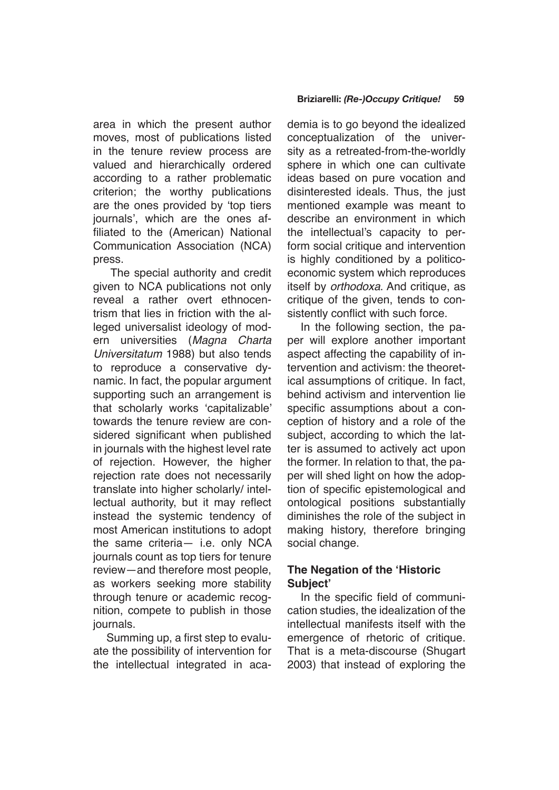area in which the present author moves, most of publications listed in the tenure review process are valued and hierarchically ordered according to a rather problematic criterion; the worthy publications are the ones provided by 'top tiers journals', which are the ones affiliated to the (American) National Communication Association (NCA) press.

 The special authority and credit given to NCA publications not only reveal a rather overt ethnocentrism that lies in friction with the alleged universalist ideology of modern universities (Magna Charta *Universitatum* 1988) but also tends to reproduce a conservative dynamic. In fact, the popular argument supporting such an arrangement is that scholarly works 'capitalizable' towards the tenure review are considered significant when published in journals with the highest level rate of rejection. However, the higher rejection rate does not necessarily translate into higher scholarly/ intellectual authority, but it may reflect instead the systemic tendency of most American institutions to adopt the same criteria— i.e. only NCA journals count as top tiers for tenure review—and therefore most people, as workers seeking more stability through tenure or academic recognition, compete to publish in those journals.

Summing up, a first step to evaluate the possibility of intervention for the intellectual integrated in academia is to go beyond the idealized conceptualization of the university as a retreated-from-the-worldly sphere in which one can cultivate ideas based on pure vocation and disinterested ideals. Thus, the just mentioned example was meant to describe an environment in which the intellectual's capacity to perform social critique and intervention is highly conditioned by a politicoeconomic system which reproduces itself by *orthodoxa*. And critique, as critique of the given, tends to consistently conflict with such force.

In the following section, the paper will explore another important aspect affecting the capability of intervention and activism: the theoretical assumptions of critique. In fact, behind activism and intervention lie specific assumptions about a conception of history and a role of the subject, according to which the latter is assumed to actively act upon the former. In relation to that, the paper will shed light on how the adoption of specific epistemological and ontological positions substantially diminishes the role of the subject in making history, therefore bringing social change.

# **The Negation of the 'Historic Subject'**

In the specific field of communication studies, the idealization of the intellectual manifests itself with the emergence of rhetoric of critique. That is a meta-discourse (Shugart 2003) that instead of exploring the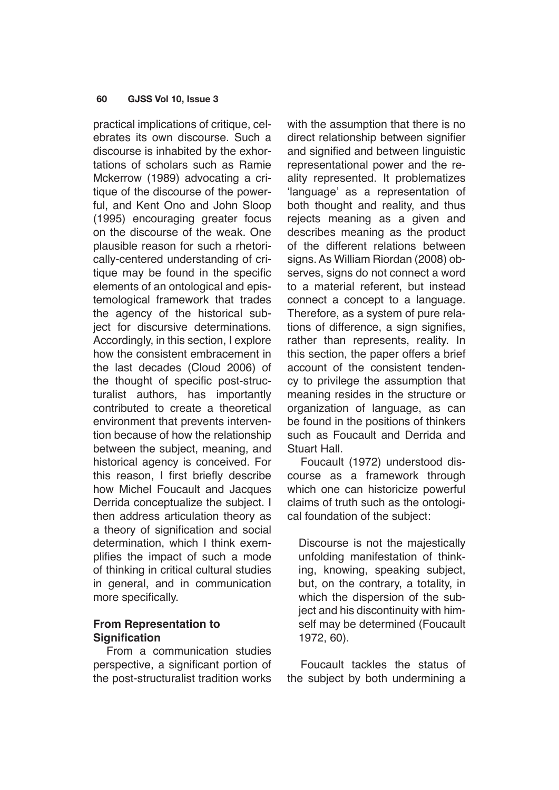practical implications of critique, celebrates its own discourse. Such a discourse is inhabited by the exhortations of scholars such as Ramie Mckerrow (1989) advocating a critique of the discourse of the powerful, and Kent Ono and John Sloop (1995) encouraging greater focus on the discourse of the weak. One plausible reason for such a rhetorically-centered understanding of critique may be found in the specific elements of an ontological and epistemological framework that trades the agency of the historical subject for discursive determinations. Accordingly, in this section, I explore how the consistent embracement in the last decades (Cloud 2006) of the thought of specific post-structuralist authors, has importantly contributed to create a theoretical environment that prevents intervention because of how the relationship between the subject, meaning, and historical agency is conceived. For this reason, I first briefly describe how Michel Foucault and Jacques Derrida conceptualize the subject. I then address articulation theory as a theory of signification and social determination, which I think exemplifies the impact of such a mode of thinking in critical cultural studies in general, and in communication more specifically.

# **From Representation to Signification**

From a communication studies perspective, a significant portion of the post-structuralist tradition works with the assumption that there is no direct relationship between signifier and signified and between linguistic representational power and the reality represented. It problematizes 'language' as a representation of both thought and reality, and thus rejects meaning as a given and describes meaning as the product of the different relations between signs. As William Riordan (2008) observes, signs do not connect a word to a material referent, but instead connect a concept to a language. Therefore, as a system of pure relations of difference, a sign signifies. rather than represents, reality. In this section, the paper offers a brief account of the consistent tendency to privilege the assumption that meaning resides in the structure or organization of language, as can be found in the positions of thinkers such as Foucault and Derrida and Stuart Hall.

Foucault (1972) understood discourse as a framework through which one can historicize powerful claims of truth such as the ontological foundation of the subject:

Discourse is not the majestically unfolding manifestation of thinking, knowing, speaking subject, but, on the contrary, a totality, in which the dispersion of the subject and his discontinuity with himself may be determined (Foucault 1972, 60).

Foucault tackles the status of the subject by both undermining a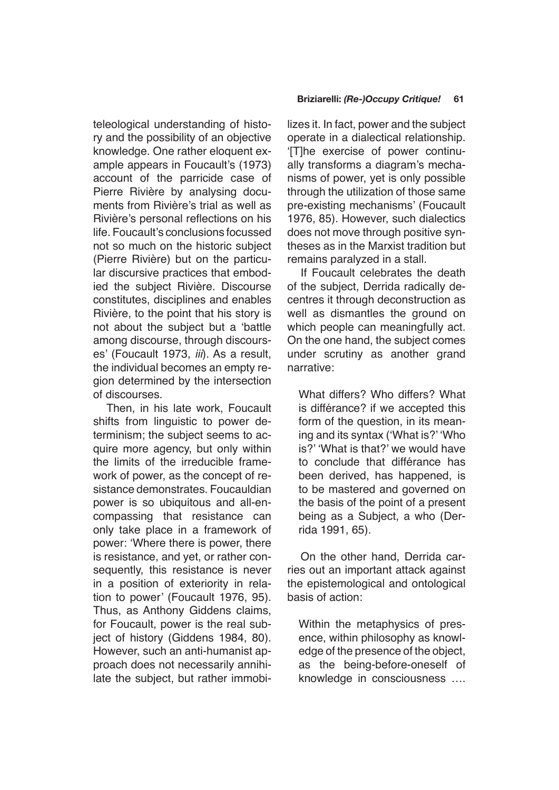teleological understanding of history and the possibility of an objective knowledge. One rather eloquent example appears in Foucault's (1973) account of the parricide case of Pierre Rivière by analysing documents from Rivière's trial as well as Rivière's personal reflections on his life. Foucault's conclusions focussed not so much on the historic subject (Pierre Rivière) but on the particular discursive practices that embodied the subject Rivière. Discourse constitutes, disciplines and enables Rivière, to the point that his story is not about the subject but a 'battle among discourse, through discourses' (Foucault 1973, *iii*). As a result, the individual becomes an empty region determined by the intersection of discourses.

Then, in his late work, Foucault shifts from linguistic to power determinism; the subject seems to acquire more agency, but only within the limits of the irreducible framework of power, as the concept of resistance demonstrates. Foucauldian power is so ubiquitous and all-encompassing that resistance can only take place in a framework of power: 'Where there is power, there is resistance, and yet, or rather consequently, this resistance is never in a position of exteriority in relation to power' (Foucault 1976, 95). Thus, as Anthony Giddens claims, for Foucault, power is the real subject of history (Giddens 1984, 80). However, such an anti-humanist approach does not necessarily annihilate the subject, but rather immobi-

## **Briziarelli:** *(Re-)Occupy Critique!* **61**

lizes it. In fact, power and the subject operate in a dialectical relationship. '[T]he exercise of power continually transforms a diagram's mechanisms of power, yet is only possible through the utilization of those same pre-existing mechanisms' (Foucault 1976, 85). However, such dialectics does not move through positive syntheses as in the Marxist tradition but remains paralyzed in a stall.

If Foucault celebrates the death of the subject, Derrida radically decentres it through deconstruction as well as dismantles the ground on which people can meaningfully act. On the one hand, the subject comes under scrutiny as another grand narrative:

What differs? Who differs? What is différance? if we accepted this form of the question, in its meaning and its syntax ('What is?' 'Who is?' 'What is that?' we would have to conclude that différance has been derived, has happened, is to be mastered and governed on the basis of the point of a present being as a Subject, a who (Derrida 1991, 65).

On the other hand, Derrida carries out an important attack against the epistemological and ontological basis of action:

Within the metaphysics of presence, within philosophy as knowledge of the presence of the object, as the being-before-oneself of knowledge in consciousness ….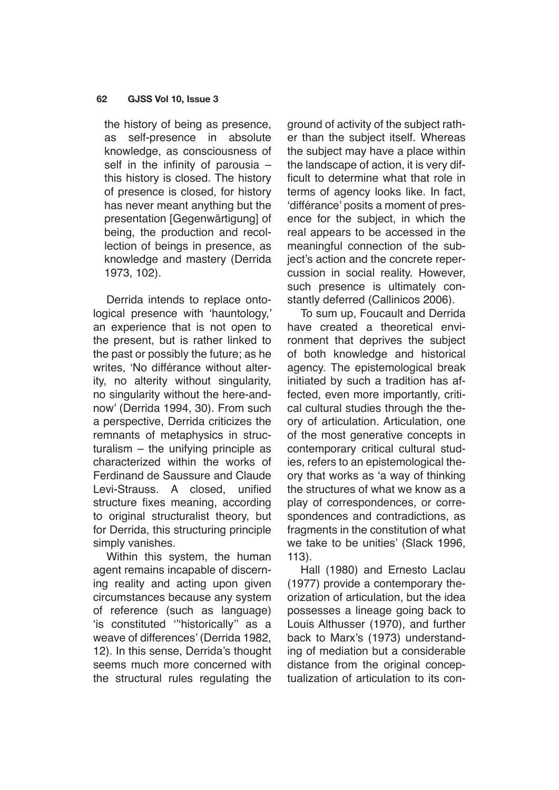the history of being as presence, as self-presence in absolute knowledge, as consciousness of self in the infinity of parousia – this history is closed. The history of presence is closed, for history has never meant anything but the presentation [Gegenwärtigung] of being, the production and recollection of beings in presence, as knowledge and mastery (Derrida 1973, 102).

Derrida intends to replace ontological presence with 'hauntology,' an experience that is not open to the present, but is rather linked to the past or possibly the future; as he writes, 'No différance without alterity, no alterity without singularity, no singularity without the here-andnow' (Derrida 1994, 30). From such a perspective, Derrida criticizes the remnants of metaphysics in structuralism – the unifying principle as characterized within the works of Ferdinand de Saussure and Claude Levi-Strauss. A closed, unified structure fixes meaning, according to original structuralist theory, but for Derrida, this structuring principle simply vanishes.

Within this system, the human agent remains incapable of discerning reality and acting upon given circumstances because any system of reference (such as language) 'is constituted '''historically'' as a weave of differences' (Derrida 1982, 12). In this sense, Derrida's thought seems much more concerned with the structural rules regulating the ground of activity of the subject rather than the subject itself. Whereas the subject may have a place within the landscape of action, it is very difficult to determine what that role in terms of agency looks like. In fact, 'différance' posits a moment of presence for the subject, in which the real appears to be accessed in the meaningful connection of the subject's action and the concrete repercussion in social reality. However, such presence is ultimately constantly deferred (Callinicos 2006).

To sum up, Foucault and Derrida have created a theoretical environment that deprives the subject of both knowledge and historical agency. The epistemological break initiated by such a tradition has affected, even more importantly, critical cultural studies through the theory of articulation. Articulation, one of the most generative concepts in contemporary critical cultural studies, refers to an epistemological theory that works as 'a way of thinking the structures of what we know as a play of correspondences, or correspondences and contradictions, as fragments in the constitution of what we take to be unities' (Slack 1996, 113).

Hall (1980) and Ernesto Laclau (1977) provide a contemporary theorization of articulation, but the idea possesses a lineage going back to Louis Althusser (1970), and further back to Marx's (1973) understanding of mediation but a considerable distance from the original conceptualization of articulation to its con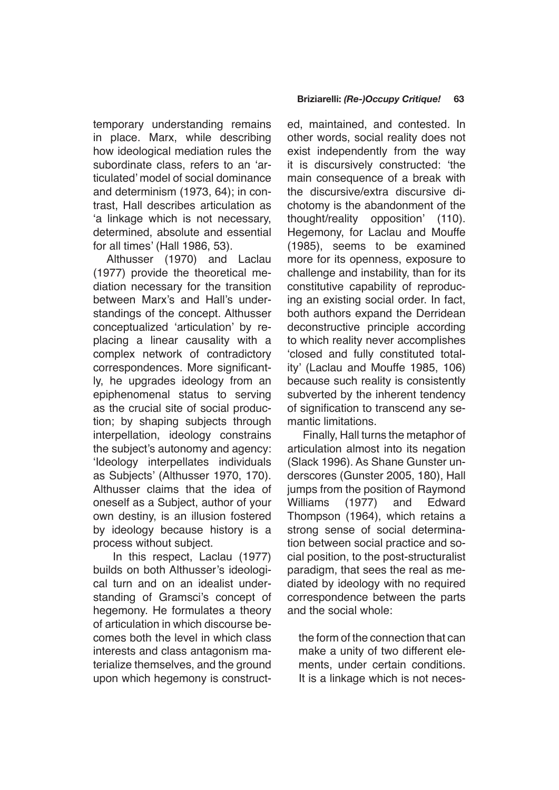temporary understanding remains in place. Marx, while describing how ideological mediation rules the subordinate class, refers to an 'articulated' model of social dominance and determinism (1973, 64); in contrast, Hall describes articulation as 'a linkage which is not necessary, determined, absolute and essential for all times' (Hall 1986, 53).

Althusser (1970) and Laclau (1977) provide the theoretical mediation necessary for the transition between Marx's and Hall's understandings of the concept. Althusser conceptualized 'articulation' by replacing a linear causality with a complex network of contradictory correspondences. More significantly, he upgrades ideology from an epiphenomenal status to serving as the crucial site of social production; by shaping subjects through interpellation, ideology constrains the subject's autonomy and agency: 'Ideology interpellates individuals as Subjects' (Althusser 1970, 170). Althusser claims that the idea of oneself as a Subject, author of your own destiny, is an illusion fostered by ideology because history is a process without subject.

 In this respect, Laclau (1977) builds on both Althusser's ideological turn and on an idealist understanding of Gramsci's concept of hegemony. He formulates a theory of articulation in which discourse becomes both the level in which class interests and class antagonism materialize themselves, and the ground upon which hegemony is constructed, maintained, and contested. In other words, social reality does not exist independently from the way it is discursively constructed: 'the main consequence of a break with the discursive/extra discursive dichotomy is the abandonment of the thought/reality opposition' (110). Hegemony, for Laclau and Mouffe (1985), seems to be examined more for its openness, exposure to challenge and instability, than for its constitutive capability of reproducing an existing social order. In fact, both authors expand the Derridean deconstructive principle according to which reality never accomplishes 'closed and fully constituted totality' (Laclau and Mouffe 1985, 106) because such reality is consistently subverted by the inherent tendency of signification to transcend any semantic limitations.

 Finally, Hall turns the metaphor of articulation almost into its negation (Slack 1996). As Shane Gunster underscores (Gunster 2005, 180), Hall jumps from the position of Raymond Williams (1977) and Edward Thompson (1964), which retains a strong sense of social determination between social practice and social position, to the post-structuralist paradigm, that sees the real as mediated by ideology with no required correspondence between the parts and the social whole:

the form of the connection that can make a unity of two different elements, under certain conditions. It is a linkage which is not neces-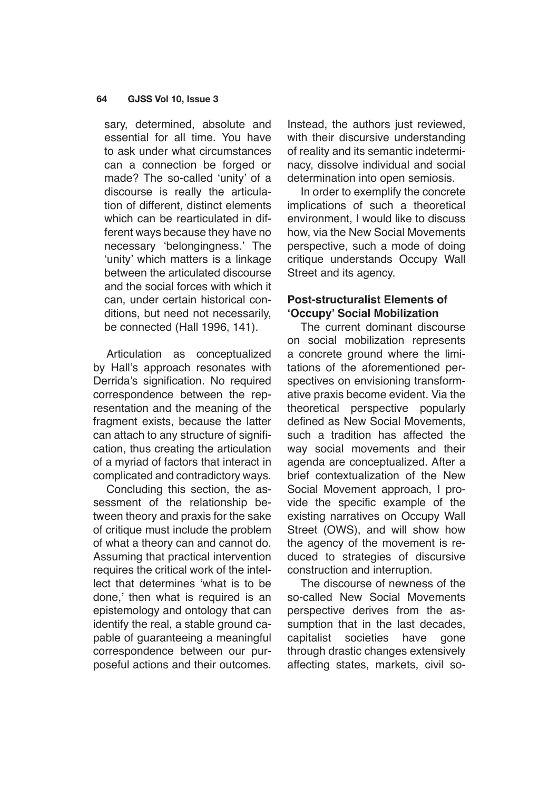sary, determined, absolute and essential for all time. You have to ask under what circumstances can a connection be forged or made? The so-called 'unity' of a discourse is really the articulation of different, distinct elements which can be rearticulated in different ways because they have no necessary 'belongingness.' The 'unity' which matters is a linkage between the articulated discourse and the social forces with which it can, under certain historical conditions, but need not necessarily, be connected (Hall 1996, 141).

Articulation as conceptualized by Hall's approach resonates with Derrida's signification. No required correspondence between the representation and the meaning of the fragment exists, because the latter can attach to any structure of signification, thus creating the articulation of a myriad of factors that interact in complicated and contradictory ways.

Concluding this section, the assessment of the relationship between theory and praxis for the sake of critique must include the problem of what a theory can and cannot do. Assuming that practical intervention requires the critical work of the intellect that determines 'what is to be done,' then what is required is an epistemology and ontology that can identify the real, a stable ground capable of guaranteeing a meaningful correspondence between our purposeful actions and their outcomes.

Instead, the authors just reviewed, with their discursive understanding of reality and its semantic indeterminacy, dissolve individual and social determination into open semiosis.

In order to exemplify the concrete implications of such a theoretical environment, I would like to discuss how, via the New Social Movements perspective, such a mode of doing critique understands Occupy Wall Street and its agency.

## **Post-structuralist Elements of 'Occupy' Social Mobilization**

The current dominant discourse on social mobilization represents a concrete ground where the limitations of the aforementioned perspectives on envisioning transformative praxis become evident. Via the theoretical perspective popularly defined as New Social Movements, such a tradition has affected the way social movements and their agenda are conceptualized. After a brief contextualization of the New Social Movement approach, I provide the specific example of the existing narratives on Occupy Wall Street (OWS), and will show how the agency of the movement is reduced to strategies of discursive construction and interruption.

The discourse of newness of the so-called New Social Movements perspective derives from the assumption that in the last decades, capitalist societies have gone through drastic changes extensively affecting states, markets, civil so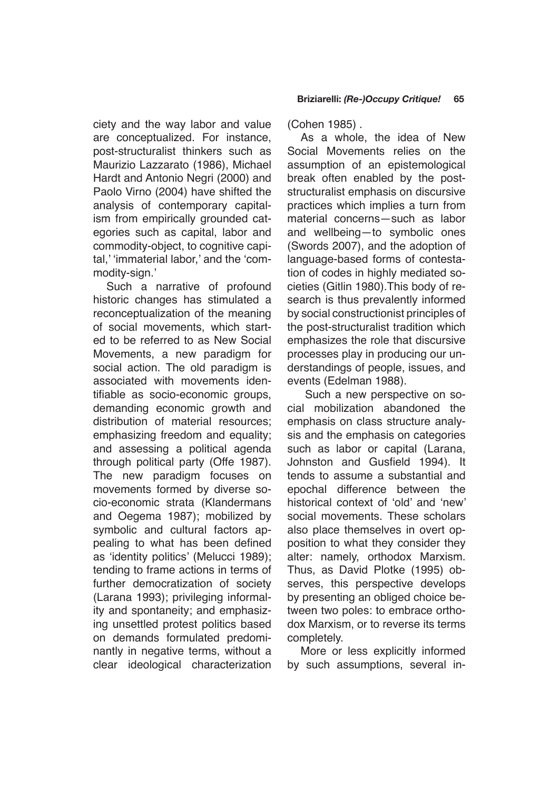ciety and the way labor and value are conceptualized. For instance, post-structuralist thinkers such as Maurizio Lazzarato (1986), Michael Hardt and Antonio Negri (2000) and Paolo Virno (2004) have shifted the analysis of contemporary capitalism from empirically grounded categories such as capital, labor and commodity-object, to cognitive capital,' 'immaterial labor,' and the 'commodity-sign.'

Such a narrative of profound historic changes has stimulated a reconceptualization of the meaning of social movements, which started to be referred to as New Social Movements, a new paradigm for social action. The old paradigm is associated with movements identifiable as socio-economic groups, demanding economic growth and distribution of material resources; emphasizing freedom and equality; and assessing a political agenda through political party (Offe 1987). The new paradigm focuses on movements formed by diverse socio-economic strata (Klandermans and Oegema 1987); mobilized by symbolic and cultural factors appealing to what has been defined as 'identity politics' (Melucci 1989); tending to frame actions in terms of further democratization of society (Larana 1993); privileging informality and spontaneity; and emphasizing unsettled protest politics based on demands formulated predominantly in negative terms, without a clear ideological characterization (Cohen 1985) .

As a whole, the idea of New Social Movements relies on the assumption of an epistemological break often enabled by the poststructuralist emphasis on discursive practices which implies a turn from material concerns—such as labor and wellbeing—to symbolic ones (Swords 2007), and the adoption of language-based forms of contestation of codes in highly mediated societies (Gitlin 1980).This body of research is thus prevalently informed by social constructionist principles of the post-structuralist tradition which emphasizes the role that discursive processes play in producing our understandings of people, issues, and events (Edelman 1988).

 Such a new perspective on social mobilization abandoned the emphasis on class structure analysis and the emphasis on categories such as labor or capital (Larana, Johnston and Gusfield 1994). It tends to assume a substantial and epochal difference between the historical context of 'old' and 'new' social movements. These scholars also place themselves in overt opposition to what they consider they alter: namely, orthodox Marxism. Thus, as David Plotke (1995) observes, this perspective develops by presenting an obliged choice between two poles: to embrace orthodox Marxism, or to reverse its terms completely.

More or less explicitly informed by such assumptions, several in-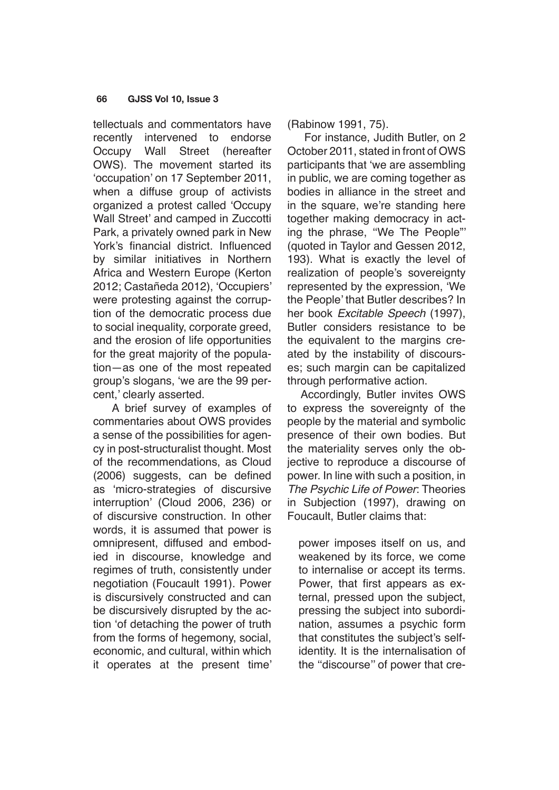tellectuals and commentators have recently intervened to endorse Occupy Wall Street (hereafter OWS). The movement started its 'occupation' on 17 September 2011, when a diffuse group of activists organized a protest called 'Occupy Wall Street' and camped in Zuccotti Park, a privately owned park in New York's financial district. Influenced by similar initiatives in Northern Africa and Western Europe (Kerton 2012; Castañeda 2012), 'Occupiers' were protesting against the corruption of the democratic process due to social inequality, corporate greed, and the erosion of life opportunities for the great majority of the population—as one of the most repeated group's slogans, 'we are the 99 percent,' clearly asserted.

 A brief survey of examples of commentaries about OWS provides a sense of the possibilities for agency in post-structuralist thought. Most of the recommendations, as Cloud (2006) suggests, can be defined as 'micro-strategies of discursive interruption' (Cloud 2006, 236) or of discursive construction. In other words, it is assumed that power is omnipresent, diffused and embodied in discourse, knowledge and regimes of truth, consistently under negotiation (Foucault 1991). Power is discursively constructed and can be discursively disrupted by the action 'of detaching the power of truth from the forms of hegemony, social, economic, and cultural, within which it operates at the present time' (Rabinow 1991, 75).

 For instance, Judith Butler, on 2 October 2011, stated in front of OWS participants that 'we are assembling in public, we are coming together as bodies in alliance in the street and in the square, we're standing here together making democracy in acting the phrase, ''We The People"' (quoted in Taylor and Gessen 2012, 193). What is exactly the level of realization of people's sovereignty represented by the expression, 'We the People' that Butler describes? In her book Excitable Speech (1997), Butler considers resistance to be the equivalent to the margins created by the instability of discourses; such margin can be capitalized through performative action.

Accordingly, Butler invites OWS to express the sovereignty of the people by the material and symbolic presence of their own bodies. But the materiality serves only the objective to reproduce a discourse of power. In line with such a position, in The Psychic Life of Power: Theories in Subjection (1997), drawing on Foucault, Butler claims that:

power imposes itself on us, and weakened by its force, we come to internalise or accept its terms. Power, that first appears as external, pressed upon the subject, pressing the subject into subordination, assumes a psychic form that constitutes the subject's selfidentity. It is the internalisation of the ''discourse'' of power that cre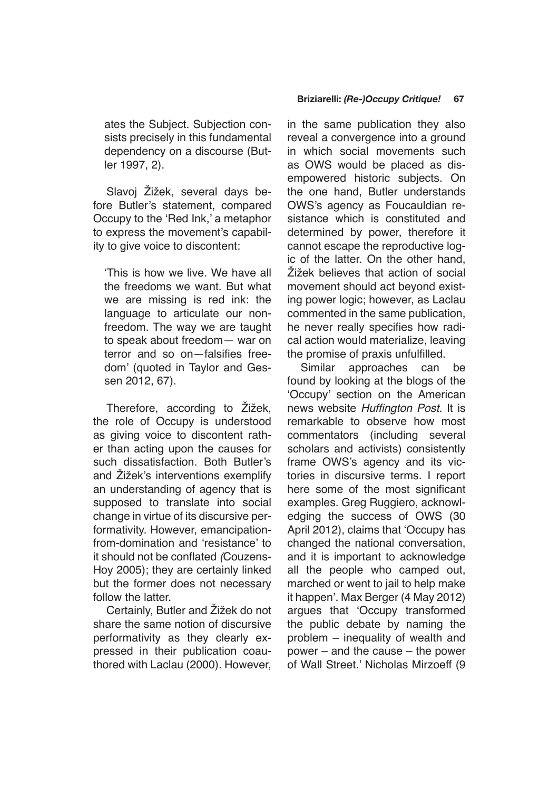ates the Subject. Subjection consists precisely in this fundamental dependency on a discourse (Butler 1997, 2).

Slavoj Žižek, several days before Butler's statement, compared Occupy to the 'Red Ink,' a metaphor to express the movement's capability to give voice to discontent:

'This is how we live. We have all the freedoms we want. But what we are missing is red ink: the language to articulate our nonfreedom. The way we are taught to speak about freedom— war on terror and so on—falsifies freedom' (quoted in Taylor and Gessen 2012, 67).

Therefore, according to Žižek, the role of Occupy is understood as giving voice to discontent rather than acting upon the causes for such dissatisfaction. Both Butler's and Žižek's interventions exemplify an understanding of agency that is supposed to translate into social change in virtue of its discursive performativity. However, emancipationfrom-domination and 'resistance' to it should not be conflated *(*Couzens-Hoy 2005); they are certainly linked but the former does not necessary follow the latter.

Certainly, Butler and Žižek do not share the same notion of discursive performativity as they clearly expressed in their publication coauthored with Laclau (2000). However,

### **Briziarelli:** *(Re-)Occupy Critique!* **67**

in the same publication they also reveal a convergence into a ground in which social movements such as OWS would be placed as disempowered historic subjects. On the one hand, Butler understands OWS's agency as Foucauldian resistance which is constituted and determined by power, therefore it cannot escape the reproductive logic of the latter. On the other hand, Žižek believes that action of social movement should act beyond existing power logic; however, as Laclau commented in the same publication, he never really specifies how radical action would materialize, leaving the promise of praxis unfulfilled.

Similar approaches can be found by looking at the blogs of the 'Occupy' section on the American news website Huffington Post. It is remarkable to observe how most commentators (including several scholars and activists) consistently frame OWS's agency and its victories in discursive terms. I report here some of the most significant examples. Greg Ruggiero, acknowledging the success of OWS (30 April 2012), claims that 'Occupy has changed the national conversation, and it is important to acknowledge all the people who camped out, marched or went to jail to help make it happen'. Max Berger (4 May 2012) argues that 'Occupy transformed the public debate by naming the problem – inequality of wealth and power – and the cause – the power of Wall Street.' Nicholas Mirzoeff (9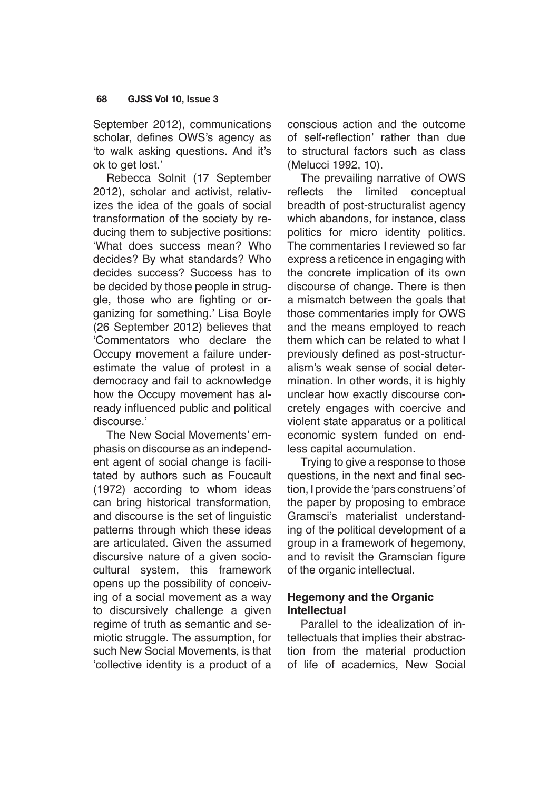September 2012), communications scholar, defines OWS's agency as 'to walk asking questions. And it's ok to get lost.'

Rebecca Solnit (17 September 2012), scholar and activist, relativizes the idea of the goals of social transformation of the society by reducing them to subjective positions: 'What does success mean? Who decides? By what standards? Who decides success? Success has to be decided by those people in struggle, those who are fighting or organizing for something.' Lisa Boyle (26 September 2012) believes that 'Commentators who declare the Occupy movement a failure underestimate the value of protest in a democracy and fail to acknowledge how the Occupy movement has already influenced public and political discourse.'

The New Social Movements' emphasis on discourse as an independent agent of social change is facilitated by authors such as Foucault (1972) according to whom ideas can bring historical transformation, and discourse is the set of linguistic patterns through which these ideas are articulated. Given the assumed discursive nature of a given sociocultural system, this framework opens up the possibility of conceiving of a social movement as a way to discursively challenge a given regime of truth as semantic and semiotic struggle. The assumption, for such New Social Movements, is that 'collective identity is a product of a conscious action and the outcome of self-reflection' rather than due to structural factors such as class (Melucci 1992, 10).

The prevailing narrative of OWS reflects the limited conceptual breadth of post-structuralist agency which abandons, for instance, class politics for micro identity politics. The commentaries I reviewed so far express a reticence in engaging with the concrete implication of its own discourse of change. There is then a mismatch between the goals that those commentaries imply for OWS and the means employed to reach them which can be related to what I previously defined as post-structuralism's weak sense of social determination. In other words, it is highly unclear how exactly discourse concretely engages with coercive and violent state apparatus or a political economic system funded on endless capital accumulation.

Trying to give a response to those questions, in the next and final section, I provide the 'pars construens' of the paper by proposing to embrace Gramsci's materialist understanding of the political development of a group in a framework of hegemony, and to revisit the Gramscian figure of the organic intellectual.

## **Hegemony and the Organic Intellectual**

Parallel to the idealization of intellectuals that implies their abstraction from the material production of life of academics, New Social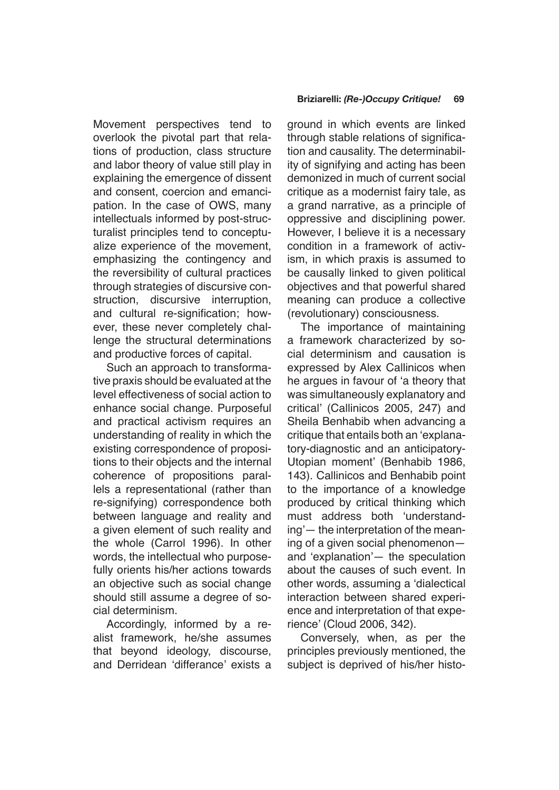Movement perspectives tend to overlook the pivotal part that relations of production, class structure and labor theory of value still play in explaining the emergence of dissent and consent, coercion and emancipation. In the case of OWS, many intellectuals informed by post-structuralist principles tend to conceptualize experience of the movement, emphasizing the contingency and the reversibility of cultural practices through strategies of discursive construction, discursive interruption, and cultural re-signification; however, these never completely challenge the structural determinations and productive forces of capital.

Such an approach to transformative praxis should be evaluated at the level effectiveness of social action to enhance social change. Purposeful and practical activism requires an understanding of reality in which the existing correspondence of propositions to their objects and the internal coherence of propositions parallels a representational (rather than re-signifying) correspondence both between language and reality and a given element of such reality and the whole (Carrol 1996). In other words, the intellectual who purposefully orients his/her actions towards an objective such as social change should still assume a degree of social determinism.

Accordingly, informed by a realist framework, he/she assumes that beyond ideology, discourse, and Derridean 'differance' exists a ground in which events are linked through stable relations of signification and causality. The determinability of signifying and acting has been demonized in much of current social critique as a modernist fairy tale, as a grand narrative, as a principle of oppressive and disciplining power. However, I believe it is a necessary condition in a framework of activism, in which praxis is assumed to be causally linked to given political objectives and that powerful shared meaning can produce a collective (revolutionary) consciousness.

The importance of maintaining a framework characterized by social determinism and causation is expressed by Alex Callinicos when he argues in favour of 'a theory that was simultaneously explanatory and critical' (Callinicos 2005, 247) and Sheila Benhabib when advancing a critique that entails both an 'explanatory-diagnostic and an anticipatory-Utopian moment' (Benhabib 1986, 143). Callinicos and Benhabib point to the importance of a knowledge produced by critical thinking which must address both 'understanding'— the interpretation of the meaning of a given social phenomenon and 'explanation'— the speculation about the causes of such event. In other words, assuming a 'dialectical interaction between shared experience and interpretation of that experience' (Cloud 2006, 342).

Conversely, when, as per the principles previously mentioned, the subject is deprived of his/her histo-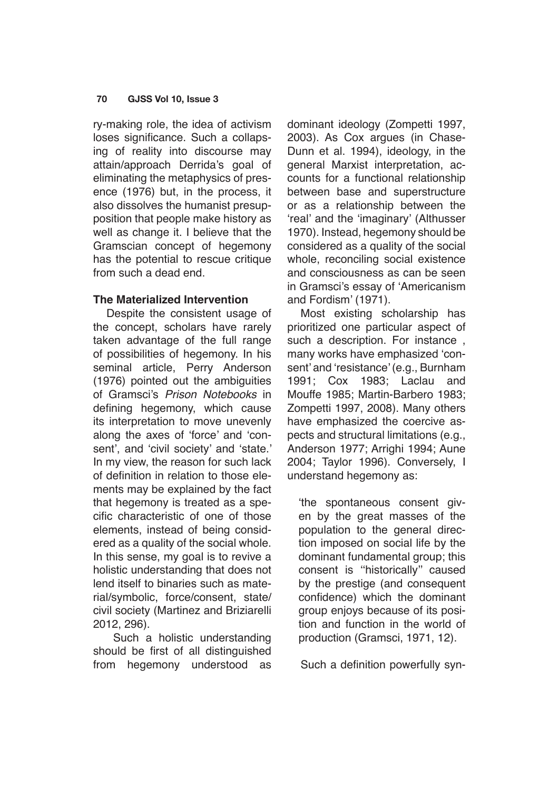ry-making role, the idea of activism loses significance. Such a collapsing of reality into discourse may attain/approach Derrida's goal of eliminating the metaphysics of presence (1976) but, in the process, it also dissolves the humanist presupposition that people make history as well as change it. I believe that the Gramscian concept of hegemony has the potential to rescue critique from such a dead end.

## **The Materialized Intervention**

Despite the consistent usage of the concept, scholars have rarely taken advantage of the full range of possibilities of hegemony. In his seminal article, Perry Anderson (1976) pointed out the ambiguities of Gramsci's *Prison Notebooks* in defining hegemony, which cause its interpretation to move unevenly along the axes of 'force' and 'consent', and 'civil society' and 'state.' In my view, the reason for such lack of definition in relation to those elements may be explained by the fact that hegemony is treated as a specific characteristic of one of those elements, instead of being considered as a quality of the social whole. In this sense, my goal is to revive a holistic understanding that does not lend itself to binaries such as material/symbolic, force/consent, state/ civil society (Martinez and Briziarelli 2012, 296).

 Such a holistic understanding should be first of all distinguished from hegemony understood as dominant ideology (Zompetti 1997, 2003). As Cox argues (in Chase-Dunn et al. 1994), ideology, in the general Marxist interpretation, accounts for a functional relationship between base and superstructure or as a relationship between the 'real' and the 'imaginary' (Althusser 1970). Instead, hegemony should be considered as a quality of the social whole, reconciling social existence and consciousness as can be seen in Gramsci's essay of 'Americanism and Fordism' (1971).

Most existing scholarship has prioritized one particular aspect of such a description. For instance , many works have emphasized 'consent' and 'resistance' (e.g., Burnham 1991; Cox 1983; Laclau and Mouffe 1985; Martin-Barbero 1983; Zompetti 1997, 2008). Many others have emphasized the coercive aspects and structural limitations (e.g., Anderson 1977; Arrighi 1994; Aune 2004; Taylor 1996). Conversely, I understand hegemony as:

'the spontaneous consent given by the great masses of the population to the general direction imposed on social life by the dominant fundamental group; this consent is ''historically'' caused by the prestige (and consequent confidence) which the dominant group enjoys because of its position and function in the world of production (Gramsci, 1971, 12).

Such a definition powerfully syn-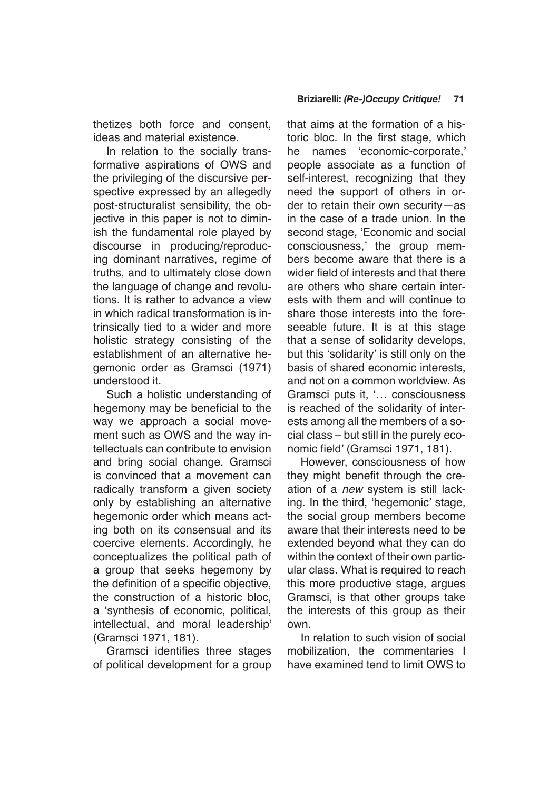thetizes both force and consent, ideas and material existence.

In relation to the socially transformative aspirations of OWS and the privileging of the discursive perspective expressed by an allegedly post-structuralist sensibility, the objective in this paper is not to diminish the fundamental role played by discourse in producing/reproducing dominant narratives, regime of truths, and to ultimately close down the language of change and revolutions. It is rather to advance a view in which radical transformation is intrinsically tied to a wider and more holistic strategy consisting of the establishment of an alternative hegemonic order as Gramsci (1971) understood it.

Such a holistic understanding of hegemony may be beneficial to the way we approach a social movement such as OWS and the way intellectuals can contribute to envision and bring social change. Gramsci is convinced that a movement can radically transform a given society only by establishing an alternative hegemonic order which means acting both on its consensual and its coercive elements. Accordingly, he conceptualizes the political path of a group that seeks hegemony by the definition of a specific objective, the construction of a historic bloc, a 'synthesis of economic, political, intellectual, and moral leadership' (Gramsci 1971, 181).

Gramsci identifies three stages of political development for a group

## **Briziarelli:** *(Re-)Occupy Critique!* **71**

that aims at the formation of a historic bloc. In the first stage, which he names 'economic-corporate,' people associate as a function of self-interest, recognizing that they need the support of others in order to retain their own security—as in the case of a trade union. In the second stage, 'Economic and social consciousness,' the group members become aware that there is a wider field of interests and that there are others who share certain interests with them and will continue to share those interests into the foreseeable future. It is at this stage that a sense of solidarity develops, but this 'solidarity' is still only on the basis of shared economic interests, and not on a common worldview. As Gramsci puts it, '… consciousness is reached of the solidarity of interests among all the members of a social class – but still in the purely economic field' (Gramsci 1971, 181).

However, consciousness of how they might benefit through the creation of a new system is still lacking. In the third, 'hegemonic' stage, the social group members become aware that their interests need to be extended beyond what they can do within the context of their own particular class. What is required to reach this more productive stage, argues Gramsci, is that other groups take the interests of this group as their own.

In relation to such vision of social mobilization, the commentaries I have examined tend to limit OWS to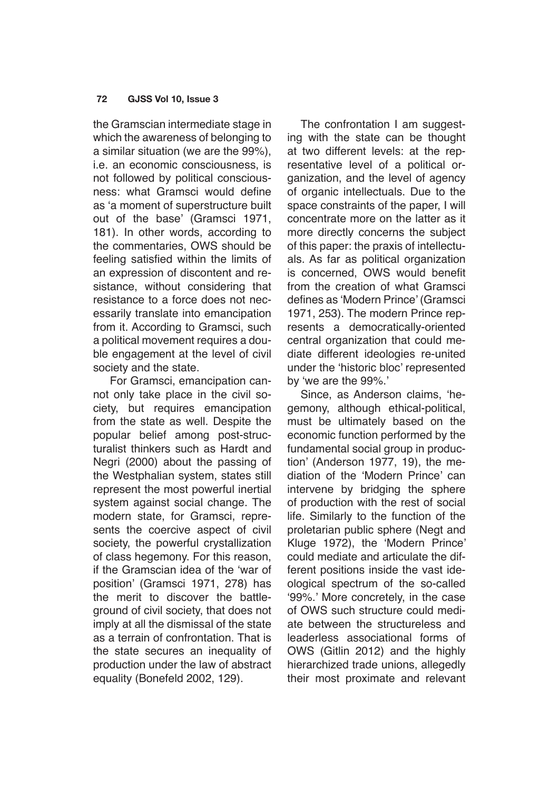the Gramscian intermediate stage in which the awareness of belonging to a similar situation (we are the 99%), i.e. an economic consciousness, is not followed by political consciousness: what Gramsci would define as 'a moment of superstructure built out of the base' (Gramsci 1971, 181). In other words, according to the commentaries, OWS should be feeling satisfied within the limits of an expression of discontent and resistance, without considering that resistance to a force does not necessarily translate into emancipation from it. According to Gramsci, such a political movement requires a double engagement at the level of civil society and the state.

 For Gramsci, emancipation cannot only take place in the civil society, but requires emancipation from the state as well. Despite the popular belief among post-structuralist thinkers such as Hardt and Negri (2000) about the passing of the Westphalian system, states still represent the most powerful inertial system against social change. The modern state, for Gramsci, represents the coercive aspect of civil society, the powerful crystallization of class hegemony. For this reason, if the Gramscian idea of the 'war of position' (Gramsci 1971, 278) has the merit to discover the battleground of civil society, that does not imply at all the dismissal of the state as a terrain of confrontation. That is the state secures an inequality of production under the law of abstract equality (Bonefeld 2002, 129).

The confrontation I am suggesting with the state can be thought at two different levels: at the representative level of a political organization, and the level of agency of organic intellectuals. Due to the space constraints of the paper, I will concentrate more on the latter as it more directly concerns the subject of this paper: the praxis of intellectuals. As far as political organization is concerned, OWS would benefit from the creation of what Gramsci defines as 'Modern Prince' (Gramsci 1971, 253). The modern Prince represents a democratically-oriented central organization that could mediate different ideologies re-united under the 'historic bloc' represented by 'we are the 99%.'

Since, as Anderson claims, 'hegemony, although ethical-political, must be ultimately based on the economic function performed by the fundamental social group in production' (Anderson 1977, 19), the mediation of the 'Modern Prince' can intervene by bridging the sphere of production with the rest of social life. Similarly to the function of the proletarian public sphere (Negt and Kluge 1972), the 'Modern Prince' could mediate and articulate the different positions inside the vast ideological spectrum of the so-called '99%.' More concretely, in the case of OWS such structure could mediate between the structureless and leaderless associational forms of OWS (Gitlin 2012) and the highly hierarchized trade unions, allegedly their most proximate and relevant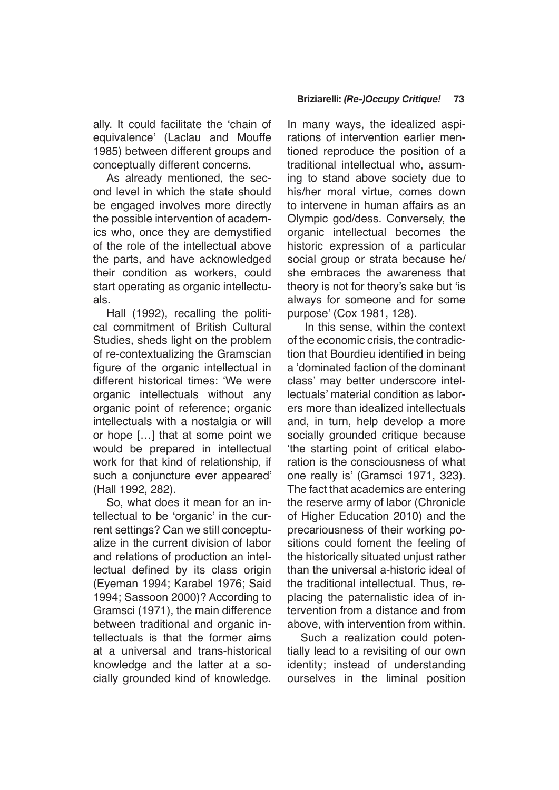ally. It could facilitate the 'chain of equivalence' (Laclau and Mouffe 1985) between different groups and conceptually different concerns.

As already mentioned, the second level in which the state should be engaged involves more directly the possible intervention of academics who, once they are demystified of the role of the intellectual above the parts, and have acknowledged their condition as workers, could start operating as organic intellectuals.

Hall (1992), recalling the political commitment of British Cultural Studies, sheds light on the problem of re-contextualizing the Gramscian figure of the organic intellectual in different historical times: 'We were organic intellectuals without any organic point of reference; organic intellectuals with a nostalgia or will or hope […] that at some point we would be prepared in intellectual work for that kind of relationship, if such a conjuncture ever appeared' (Hall 1992, 282).

So, what does it mean for an intellectual to be 'organic' in the current settings? Can we still conceptualize in the current division of labor and relations of production an intellectual defined by its class origin (Eyeman 1994; Karabel 1976; Said 1994; Sassoon 2000)? According to Gramsci (1971), the main difference between traditional and organic intellectuals is that the former aims at a universal and trans-historical knowledge and the latter at a socially grounded kind of knowledge.

In many ways, the idealized aspirations of intervention earlier mentioned reproduce the position of a traditional intellectual who, assuming to stand above society due to his/her moral virtue, comes down to intervene in human affairs as an Olympic god/dess. Conversely, the organic intellectual becomes the historic expression of a particular social group or strata because he/ she embraces the awareness that theory is not for theory's sake but 'is always for someone and for some purpose' (Cox 1981, 128).

 In this sense, within the context of the economic crisis, the contradiction that Bourdieu identified in being a 'dominated faction of the dominant class' may better underscore intellectuals' material condition as laborers more than idealized intellectuals and, in turn, help develop a more socially grounded critique because 'the starting point of critical elaboration is the consciousness of what one really is' (Gramsci 1971, 323). The fact that academics are entering the reserve army of labor (Chronicle of Higher Education 2010) and the precariousness of their working positions could foment the feeling of the historically situated unjust rather than the universal a-historic ideal of the traditional intellectual. Thus, replacing the paternalistic idea of intervention from a distance and from above, with intervention from within.

Such a realization could potentially lead to a revisiting of our own identity; instead of understanding ourselves in the liminal position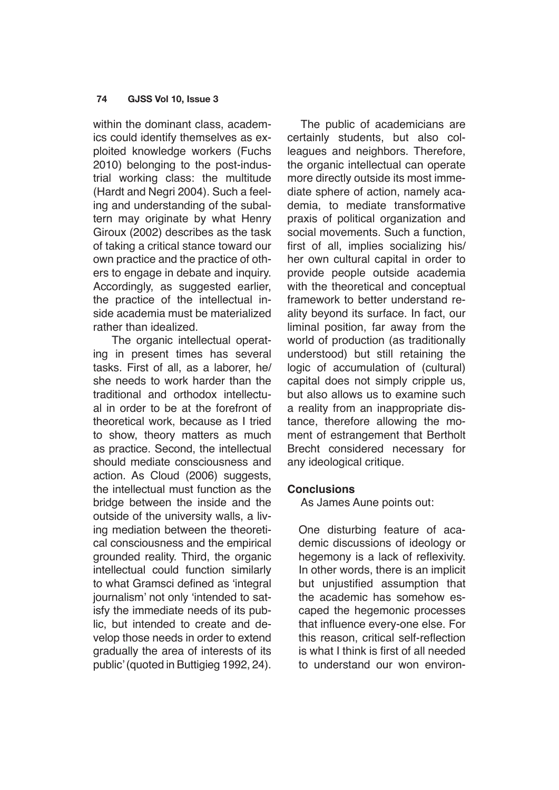within the dominant class, academics could identify themselves as exploited knowledge workers (Fuchs 2010) belonging to the post-industrial working class: the multitude (Hardt and Negri 2004). Such a feeling and understanding of the subaltern may originate by what Henry Giroux (2002) describes as the task of taking a critical stance toward our own practice and the practice of others to engage in debate and inquiry. Accordingly, as suggested earlier, the practice of the intellectual inside academia must be materialized rather than idealized.

 The organic intellectual operating in present times has several tasks. First of all, as a laborer, he/ she needs to work harder than the traditional and orthodox intellectual in order to be at the forefront of theoretical work, because as I tried to show, theory matters as much as practice. Second, the intellectual should mediate consciousness and action. As Cloud (2006) suggests, the intellectual must function as the bridge between the inside and the outside of the university walls, a living mediation between the theoretical consciousness and the empirical grounded reality. Third, the organic intellectual could function similarly to what Gramsci defined as 'integral journalism' not only 'intended to satisfy the immediate needs of its public, but intended to create and develop those needs in order to extend gradually the area of interests of its public' (quoted in Buttigieg 1992, 24).

The public of academicians are certainly students, but also colleagues and neighbors. Therefore, the organic intellectual can operate more directly outside its most immediate sphere of action, namely academia, to mediate transformative praxis of political organization and social movements. Such a function, first of all, implies socializing his/ her own cultural capital in order to provide people outside academia with the theoretical and conceptual framework to better understand reality beyond its surface. In fact, our liminal position, far away from the world of production (as traditionally understood) but still retaining the logic of accumulation of (cultural) capital does not simply cripple us, but also allows us to examine such a reality from an inappropriate distance, therefore allowing the moment of estrangement that Bertholt Brecht considered necessary for any ideological critique.

## **Conclusions**

As James Aune points out:

One disturbing feature of academic discussions of ideology or hegemony is a lack of reflexivity. In other words, there is an implicit but unjustified assumption that the academic has somehow escaped the hegemonic processes that influence every-one else. For this reason, critical self-reflection is what I think is first of all needed to understand our won environ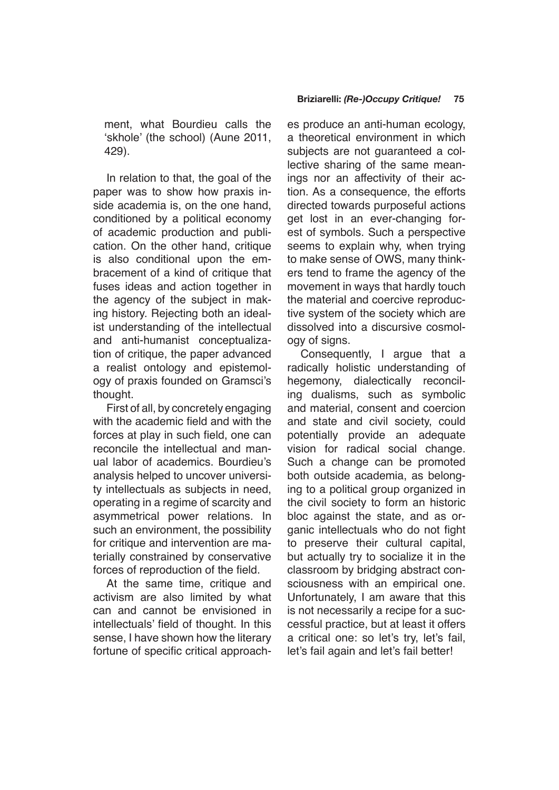ment, what Bourdieu calls the 'skhole' (the school) (Aune 2011, 429).

In relation to that, the goal of the paper was to show how praxis inside academia is, on the one hand, conditioned by a political economy of academic production and publication. On the other hand, critique is also conditional upon the embracement of a kind of critique that fuses ideas and action together in the agency of the subject in making history. Rejecting both an idealist understanding of the intellectual and anti-humanist conceptualization of critique, the paper advanced a realist ontology and epistemology of praxis founded on Gramsci's thought.

First of all, by concretely engaging with the academic field and with the forces at play in such field, one can reconcile the intellectual and manual labor of academics. Bourdieu's analysis helped to uncover university intellectuals as subjects in need, operating in a regime of scarcity and asymmetrical power relations. In such an environment, the possibility for critique and intervention are materially constrained by conservative forces of reproduction of the field.

At the same time, critique and activism are also limited by what can and cannot be envisioned in intellectuals' field of thought. In this sense, I have shown how the literary fortune of specific critical approach-

## **Briziarelli:** *(Re-)Occupy Critique!* **75**

es produce an anti-human ecology, a theoretical environment in which subjects are not guaranteed a collective sharing of the same meanings nor an affectivity of their action. As a consequence, the efforts directed towards purposeful actions get lost in an ever-changing forest of symbols. Such a perspective seems to explain why, when trying to make sense of OWS, many thinkers tend to frame the agency of the movement in ways that hardly touch the material and coercive reproductive system of the society which are dissolved into a discursive cosmology of signs.

Consequently, I argue that a radically holistic understanding of hegemony, dialectically reconciling dualisms, such as symbolic and material, consent and coercion and state and civil society, could potentially provide an adequate vision for radical social change. Such a change can be promoted both outside academia, as belonging to a political group organized in the civil society to form an historic bloc against the state, and as organic intellectuals who do not fight to preserve their cultural capital, but actually try to socialize it in the classroom by bridging abstract consciousness with an empirical one. Unfortunately, I am aware that this is not necessarily a recipe for a successful practice, but at least it offers a critical one: so let's try, let's fail, let's fail again and let's fail better!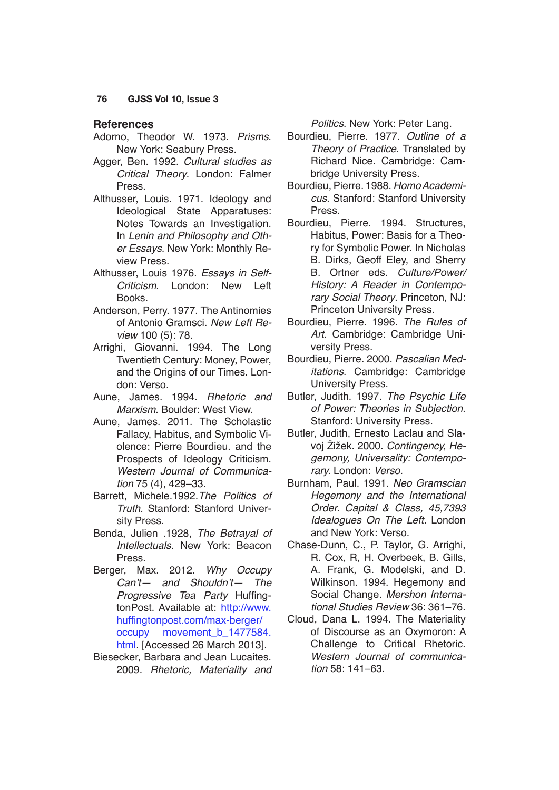## **References**

- Adorno, Theodor W. 1973. *Prisms*. New York: Seabury Press.
- Agger, Ben. 1992. Cultural studies as Critical Theory. London: Falmer Press.
- Althusser, Louis. 1971. Ideology and Ideological State Apparatuses: Notes Towards an Investigation. In Lenin and Philosophy and Other Essays. New York: Monthly Review Press.
- Althusser, Louis 1976. Essays in Self-Criticism. London: New Left Books.
- Anderson, Perry. 1977. The Antinomies of Antonio Gramsci. New Left Review 100 (5): 78.
- Arrighi, Giovanni. 1994. The Long Twentieth Century: Money, Power, and the Origins of our Times. London: Verso.
- Aune, James. 1994. Rhetoric and Marxism. Boulder: West View.
- Aune, James. 2011. The Scholastic Fallacy, Habitus, and Symbolic Violence: Pierre Bourdieu. and the Prospects of Ideology Criticism. Western Journal of Communica*tion* 75 (4), 429–33.
- Barrett, Michele.1992.*The Politics of Truth.* Stanford: Stanford University Press.
- Benda, Julien .1928, The Betrayal of *Intellectuals*. New York: Beacon Press.
- Berger, Max. 2012. Why Occupy Can't— and Shouldn't— The Progressive Tea Party HuffingtonPost. Available at: [http://www.](http://www.huffingtonpost.com/max-berger/occupy-movement_b_1477584.html) [huffingtonpost.com/max-berger/](http://www.huffingtonpost.com/max-berger/occupy-movement_b_1477584.html) [occupy movement\\_b\\_1477584.](http://www.huffingtonpost.com/max-berger/occupy-movement_b_1477584.html) [html](http://www.huffingtonpost.com/max-berger/occupy-movement_b_1477584.html). [Accessed 26 March 2013].
- Biesecker, Barbara and Jean Lucaites. 2009. Rhetoric, Materiality and

*Politics*. New York: Peter Lang.

- Bourdieu, Pierre. 1977. Outline of a Theory of Practice. Translated by Richard Nice. Cambridge: Cambridge University Press.
- Bourdieu, Pierre. 1988. *Homo Academicus*. Stanford: Stanford University Press.
- Bourdieu, Pierre. 1994. Structures, Habitus, Power: Basis for a Theory for Symbolic Power. In Nicholas B. Dirks, Geoff Eley, and Sherry B. Ortner eds. Culture/Power/ History: A Reader in Contemporary Social Theory. Princeton, NJ: Princeton University Press.
- Bourdieu, Pierre. 1996. The Rules of *Art*. Cambridge: Cambridge University Press.
- Bourdieu, Pierre. 2000. *Pascalian Meditations*. Cambridge: Cambridge University Press.
- Butler, Judith. 1997. The Psychic Life of Power: Theories in Subjection. Stanford: University Press.
- Butler, Judith, Ernesto Laclau and Slavoj Žižek. 2000. Contingency, Hegemony, Universality: Contemporary. London: *Verso.*
- Burnham, Paul. 1991. *Neo Gramscian*  Hegemony and the International Order. Capital & Class, 45,7393 Idealogues On The Left. London and New York: Verso.
- Chase-Dunn, C., P. Taylor, G. Arrighi, R. Cox, R, H. Overbeek, B. Gills, A. Frank, G. Modelski, and D. Wilkinson. 1994. Hegemony and Social Change. *Mershon Interna*tional Studies Review 36: 361–76.
- Cloud, Dana L. 1994. The Materiality of Discourse as an Oxymoron: A Challenge to Critical Rhetoric. Western Journal of communica*tion* 58: 141–63.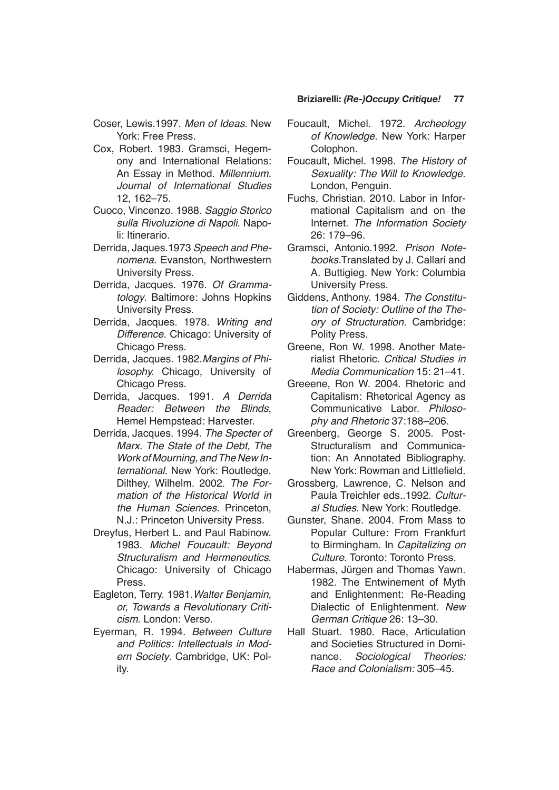- Coser, Lewis.1997. *Men of Ideas*. New York: Free Press.
- Cox, Robert. 1983. Gramsci, Hegemony and International Relations: An Essay in Method. *Millennium. Journal of International Studies* 12, 162–75.
- Cuoco, Vincenzo. 1988. *Saggio Storico*  sulla Rivoluzione di Napoli. Napoli: Itinerario.
- Derrida, Jaques.1973 *Speech and Phenomena*. Evanston, Northwestern University Press.
- Derrida, Jacques. 1976. Of Grammatology. Baltimore: Johns Hopkins University Press.
- Derrida, Jacques. 1978. Writing and *Difference.* Chicago: University of Chicago Press.
- Derrida, Jacques. 1982.*Margins of Phi*losophy. Chicago, University of Chicago Press.
- Derrida, Jacques. 1991. *A Derrida*  Reader: Between the Blinds, Hemel Hempstead: Harvester.
- Derrida, Jacques. 1994. *The Specter of*  Marx. The State of the Debt, The Work of Mourning, and The New In*ternational.* New York: Routledge. Dilthey, Wilhelm. 2002. *[The For](http://libraries.colorado.edu/search~S4?/aDilthey/adilthey/1%2C4%2C43%2CB/frameset&FF=adilthey+wilhelm+1833+1911&2%2C%2C37)*[mation of the Historical World in](http://libraries.colorado.edu/search~S4?/aDilthey/adilthey/1%2C4%2C43%2CB/frameset&FF=adilthey+wilhelm+1833+1911&2%2C%2C37) *[the Human Sciences.](http://libraries.colorado.edu/search~S4?/aDilthey/adilthey/1%2C4%2C43%2CB/frameset&FF=adilthey+wilhelm+1833+1911&2%2C%2C37)* Princeton, N.J.: Princeton University Press.
- Dreyfus, Herbert L. and Paul Rabinow. 1983. Michel Foucault: Beyond *Structuralism and Hermeneutics*. Chicago: University of Chicago Press.
- Eagleton, Terry. 1981.Walter Benjamin, or, Towards a Revolutionary Criti*cism*. London: Verso.
- Eyerman, R. 1994. Between Culture and Politics: Intellectuals in Modern Society. Cambridge, UK: Polity.

### **Briziarelli:** *(Re-)Occupy Critique!* **77**

- Foucault, Michel. 1972. Archeology of Knowledge. New York: Harper Colophon.
- Foucault, Michel. 1998. The History of Sexuality: The Will to Knowledge. London, Penguin.
- Fuchs, Christian. 2010. Labor in Informational Capitalism and on the Internet. The Information Society 26: 179–96.
- Gramsci, Antonio.1992. *Prison Notebooks.*Translated by J. Callari and A. Buttigieg. New York: Columbia University Press.
- Giddens, Anthony. 1984. The Constitution of Society: Outline of the Theory of Structuration. Cambridge: Polity Press.
- Greene, Ron W. 1998. Another Materialist Rhetoric. Critical Studies in Media Communication 15: 21–41.
- Greeene, Ron W. 2004. Rhetoric and Capitalism: Rhetorical Agency as Communicative Labor. *Philoso*phy and Rhetoric 37:188–206.
- Greenberg, George S. 2005. Post-Structuralism and Communication: An Annotated Bibliography. New York: Rowman and Littlefield.
- Grossberg, Lawrence, C. Nelson and Paula Treichler eds..1992. Cultur*al Studies*. New York: Routledge.
- Gunster, Shane. 2004. From Mass to Popular Culture: From Frankfurt to Birmingham. In Capitalizing on Culture. Toronto: Toronto Press.
- Habermas, Jürgen and Thomas Yawn. 1982. The Entwinement of Myth and Enlightenment: Re-Reading Dialectic of Enlightenment. New German Critique 26: 13–30.
- Hall Stuart. 1980. Race, Articulation and Societies Structured in Dominance. Sociological Theories: Race and Colonialism: 305–45.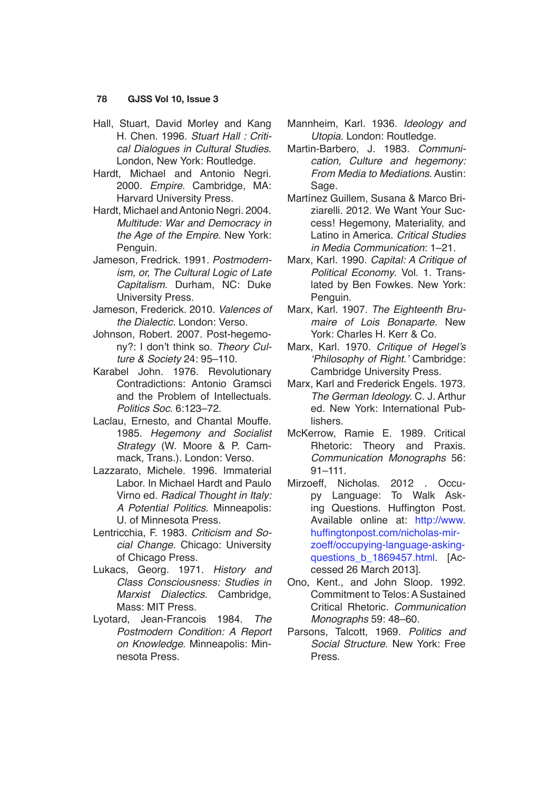- Hall, Stuart, David Morley and Kang H. Chen. 1996. Stuart Hall : Critical Dialogues in Cultural Studies. London, New York: Routledge.
- Hardt, Michael and Antonio Negri. 2000. *Empire*. Cambridge, MA: Harvard University Press.
- Hardt, Michael and Antonio Negri. 2004. Multitude: War and Democracy in *the Age of the Empire*. New York: Penguin.
- Jameson, Fredrick. 1991. *Postmodern*ism, or, The Cultural Logic of Late Capitalism. Durham, NC: Duke University Press.
- Jameson, Frederick. 2010. *Valences of the Dialectic.* London: Verso.
- Johnson, Robert. 2007. Post-hegemony?: I don't think so. Theory Culture & Society 24: 95–110.
- Karabel John. 1976. Revolutionary Contradictions: Antonio Gramsci and the Problem of Intellectuals. *Politics Soc.* 6:123–72.
- Laclau, Ernesto, and Chantal Mouffe. 1985. Hegemony and Socialist Strategy (W. Moore & P. Cammack, Trans.). London: Verso.
- Lazzarato, Michele. 1996. Immaterial Labor. In Michael Hardt and Paulo Virno ed. Radical Thought in Italy: *A Potential Politics*. Minneapolis: U. of Minnesota Press.
- Lentricchia, F. 1983. Criticism and Social Change. Chicago: University of Chicago Press.
- Lukacs, Georg. 1971. History and Class Consciousness: Studies in Marxist Dialectics. Cambridge, Mass: MIT Press.
- Lyotard, Jean-Francois 1984. *The*  Postmodern Condition: A Report on Knowledge. Minneapolis: Minnesota Press.
- Mannheim, Karl. 1936. Ideology and *Utopia*. London: Routledge.
- Martin-Barbero, J. 1983. Communication, Culture and hegemony: *From Media to Mediations*. Austin: Sage.
- Martínez Guillem, Susana & Marco Briziarelli. 2012. We Want Your Success! Hegemony, Materiality, and Latino in America. Critical Studies in Media Communication: 1–21.
- Marx, Karl. 1990. Capital: A Critique of Political Economy. Vol. 1. Translated by Ben Fowkes. New York: Penguin.
- Marx, Karl. 1907. The Eighteenth Brumaire of Lois Bonaparte. New York: Charles H. Kerr & Co.
- Marx, Karl. 1970. Critique of Hegel's 'Philosophy of Right.' Cambridge: Cambridge University Press.
- Marx, Karl and Frederick Engels. 1973. The German Ideology. C. J. Arthur ed. New York: International Publishers.
- McKerrow, Ramie E. 1989. Critical Rhetoric: Theory and Praxis. Communication Monographs 56: 91–111.
- Mirzoeff, Nicholas. 2012 . Occupy Language: To Walk Asking Questions. Huffington Post. Available online at: [http://www.](http://www.huffingtonpost.com/nicholas-mirzoeff/occupying-language-asking-questions_b_1869457.html) [huffingtonpost.com/nicholas-mir](http://www.huffingtonpost.com/nicholas-mirzoeff/occupying-language-asking-questions_b_1869457.html)[zoeff/occupying-language-asking](http://www.huffingtonpost.com/nicholas-mirzoeff/occupying-language-asking-questions_b_1869457.html)questions b 1869457.html. [Accessed 26 March 2013].
- Ono, Kent., and John Sloop. 1992. Commitment to Telos: A Sustained Critical Rhetoric. Communication *Monographs* 59: 48–60.
- Parsons, Talcott, 1969. *Politics and Social Structure*. New York: Free Press.